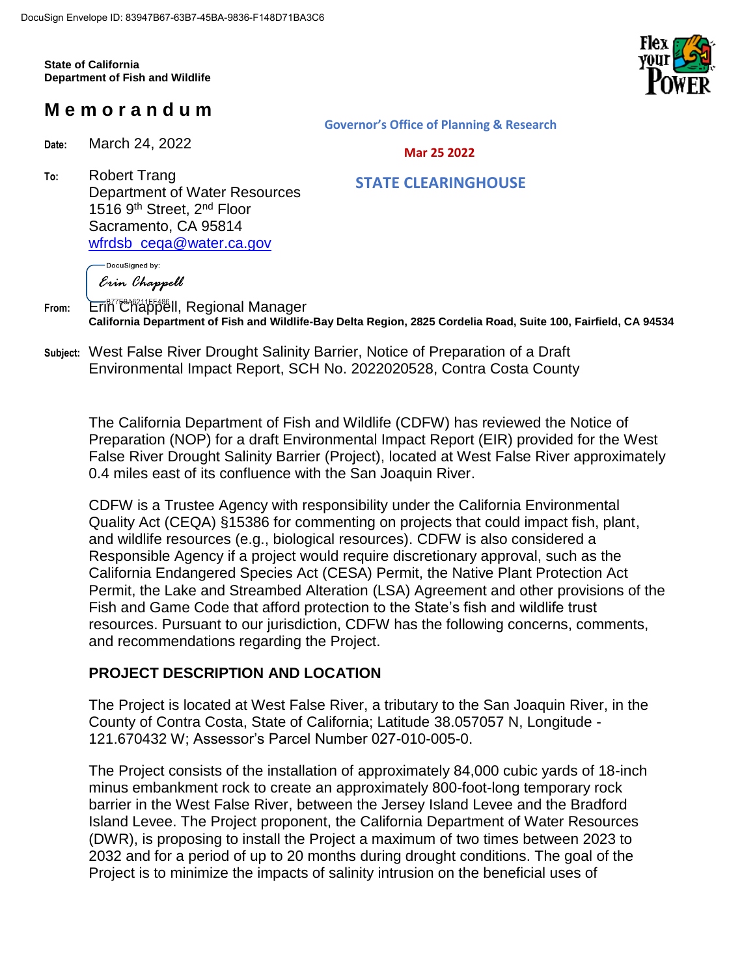**State of California Department of Fish and Wildlife**



# **M e m o r a n d u m**

**Date:** March 24, 2022

**Governor's Office of Planning & Research**

#### **Mar 25 2022**

 **STATE CLEARINGHOUSE**

**To:** Robert Trang Department of Water Resources 1516 9<sup>th</sup> Street, 2<sup>nd</sup> Floor Sacramento, CA 95814 [wfrdsb\\_ceqa@water.ca.gov](mailto:wfrdsb_ceqa@water.ca.gov)

> DocuSianed by: Erin Chappell

From: Erin<sup>er</sup>Chappell, Regional Manager **California Department of Fish and Wildlife-Bay Delta Region, 2825 Cordelia Road, Suite 100, Fairfield, CA 94534**

**Subject:** West False River Drought Salinity Barrier, Notice of Preparation of a Draft Environmental Impact Report, SCH No. 2022020528, Contra Costa County

The California Department of Fish and Wildlife (CDFW) has reviewed the Notice of Preparation (NOP) for a draft Environmental Impact Report (EIR) provided for the West False River Drought Salinity Barrier (Project), located at West False River approximately 0.4 miles east of its confluence with the San Joaquin River.

CDFW is a Trustee Agency with responsibility under the California Environmental Quality Act (CEQA) §15386 for commenting on projects that could impact fish, plant, and wildlife resources (e.g., biological resources). CDFW is also considered a Responsible Agency if a project would require discretionary approval, such as the California Endangered Species Act (CESA) Permit, the Native Plant Protection Act Permit, the Lake and Streambed Alteration (LSA) Agreement and other provisions of the Fish and Game Code that afford protection to the State's fish and wildlife trust resources. Pursuant to our jurisdiction, CDFW has the following concerns, comments, and recommendations regarding the Project.

## **PROJECT DESCRIPTION AND LOCATION**

The Project is located at West False River, a tributary to the San Joaquin River, in the County of Contra Costa, State of California; Latitude 38.057057 N, Longitude - 121.670432 W; Assessor's Parcel Number 027-010-005-0.

The Project consists of the installation of approximately 84,000 cubic yards of 18-inch minus embankment rock to create an approximately 800-foot-long temporary rock barrier in the West False River, between the Jersey Island Levee and the Bradford Island Levee. The Project proponent, the California Department of Water Resources (DWR), is proposing to install the Project a maximum of two times between 2023 to 2032 and for a period of up to 20 months during drought conditions. The goal of the Project is to minimize the impacts of salinity intrusion on the beneficial uses of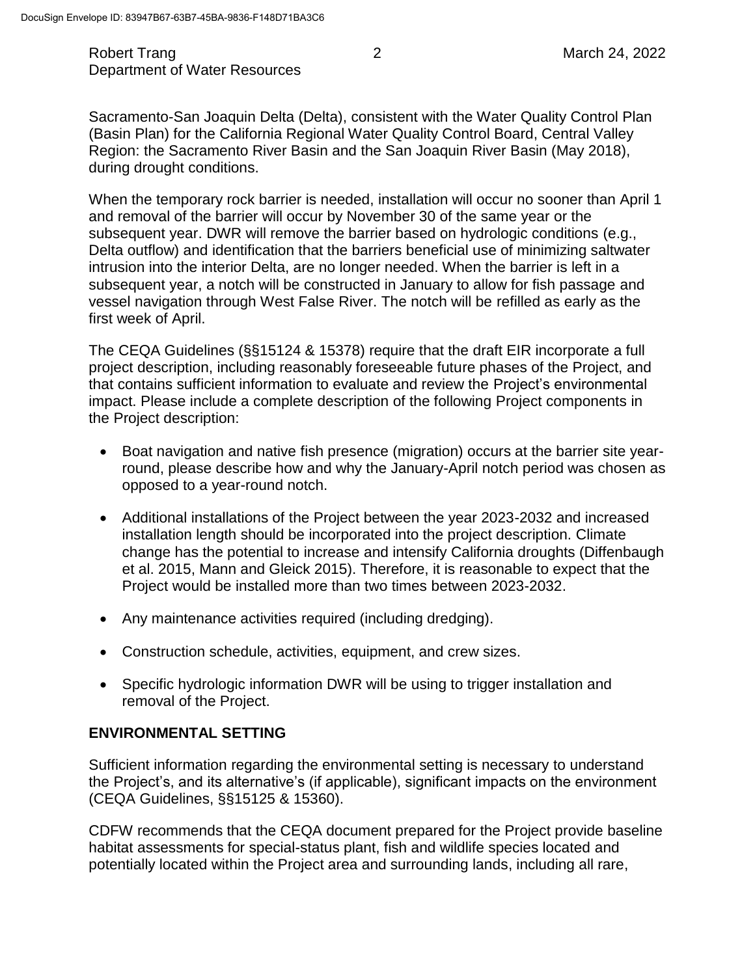#### Robert Trang 2 March 24, 2022 Department of Water Resources

Sacramento-San Joaquin Delta (Delta), consistent with the Water Quality Control Plan (Basin Plan) for the California Regional Water Quality Control Board, Central Valley Region: the Sacramento River Basin and the San Joaquin River Basin (May 2018), during drought conditions.

When the temporary rock barrier is needed, installation will occur no sooner than April 1 and removal of the barrier will occur by November 30 of the same year or the subsequent year. DWR will remove the barrier based on hydrologic conditions (e.g., Delta outflow) and identification that the barriers beneficial use of minimizing saltwater intrusion into the interior Delta, are no longer needed. When the barrier is left in a subsequent year, a notch will be constructed in January to allow for fish passage and vessel navigation through West False River. The notch will be refilled as early as the first week of April.

The CEQA Guidelines (§§15124 & 15378) require that the draft EIR incorporate a full project description, including reasonably foreseeable future phases of the Project, and that contains sufficient information to evaluate and review the Project's environmental impact. Please include a complete description of the following Project components in the Project description:

- Boat navigation and native fish presence (migration) occurs at the barrier site yearround, please describe how and why the January-April notch period was chosen as opposed to a year-round notch.
- Additional installations of the Project between the year 2023-2032 and increased installation length should be incorporated into the project description. Climate change has the potential to increase and intensify California droughts (Diffenbaugh et al. 2015, Mann and Gleick 2015). Therefore, it is reasonable to expect that the Project would be installed more than two times between 2023-2032.
- Any maintenance activities required (including dredging).
- Construction schedule, activities, equipment, and crew sizes.
- Specific hydrologic information DWR will be using to trigger installation and removal of the Project.

#### **ENVIRONMENTAL SETTING**

Sufficient information regarding the environmental setting is necessary to understand the Project's, and its alternative's (if applicable), significant impacts on the environment (CEQA Guidelines, §§15125 & 15360).

CDFW recommends that the CEQA document prepared for the Project provide baseline habitat assessments for special-status plant, fish and wildlife species located and potentially located within the Project area and surrounding lands, including all rare,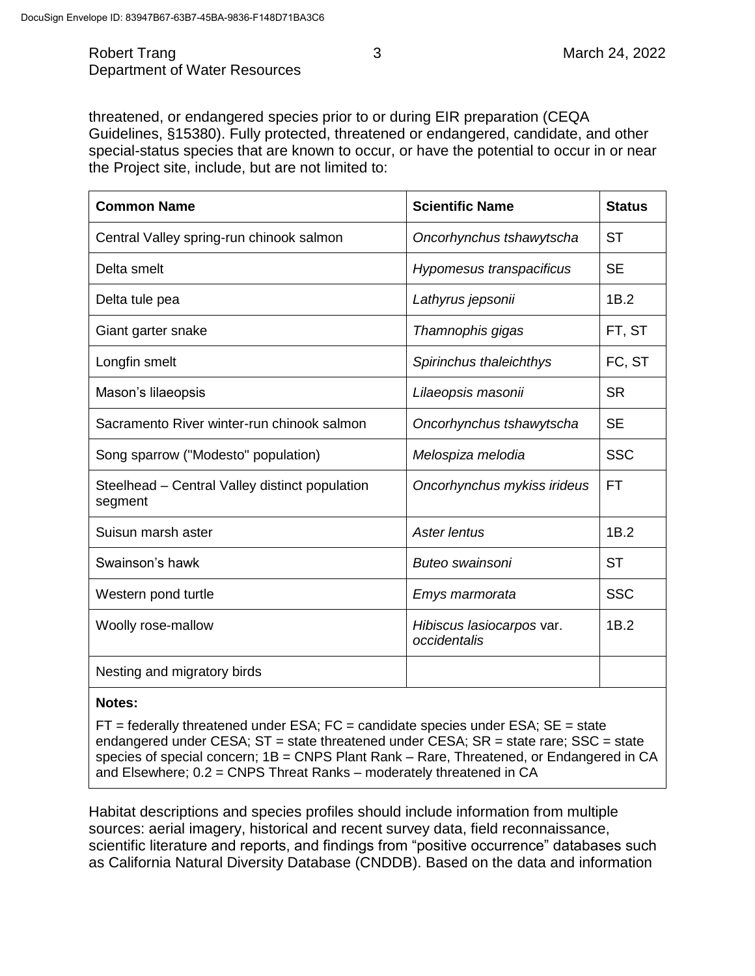Robert Trang 2022 **3** March 24, 2022 Department of Water Resources

threatened, or endangered species prior to or during EIR preparation (CEQA Guidelines, §15380). Fully protected, threatened or endangered, candidate, and other special-status species that are known to occur, or have the potential to occur in or near the Project site, include, but are not limited to:

| <b>Common Name</b>                                        | <b>Scientific Name</b>                    | <b>Status</b> |
|-----------------------------------------------------------|-------------------------------------------|---------------|
| Central Valley spring-run chinook salmon                  | Oncorhynchus tshawytscha                  | <b>ST</b>     |
| Delta smelt                                               | Hypomesus transpacificus                  | <b>SE</b>     |
| Delta tule pea                                            | Lathyrus jepsonii                         | 1B.2          |
| Giant garter snake                                        | Thamnophis gigas                          | FT, ST        |
| Longfin smelt                                             | Spirinchus thaleichthys                   | FC, ST        |
| Mason's lilaeopsis                                        | Lilaeopsis masonii                        | <b>SR</b>     |
| Sacramento River winter-run chinook salmon                | Oncorhynchus tshawytscha                  | <b>SE</b>     |
| Song sparrow ("Modesto" population)                       | Melospiza melodia                         | <b>SSC</b>    |
| Steelhead - Central Valley distinct population<br>segment | Oncorhynchus mykiss irideus               | <b>FT</b>     |
| Suisun marsh aster                                        | Aster lentus                              | 1B.2          |
| Swainson's hawk                                           | Buteo swainsoni                           | <b>ST</b>     |
| Western pond turtle                                       | Emys marmorata                            | <b>SSC</b>    |
| Woolly rose-mallow                                        | Hibiscus lasiocarpos var.<br>occidentalis | 1B.2          |
| Nesting and migratory birds                               |                                           |               |

#### **Notes:**

 $FT =$  federally threatened under ESA;  $FC =$  candidate species under ESA;  $SE =$  state endangered under CESA; ST = state threatened under CESA; SR = state rare; SSC = state species of special concern; 1B = CNPS Plant Rank – Rare, Threatened, or Endangered in CA and Elsewhere; 0.2 = CNPS Threat Ranks – moderately threatened in CA

Habitat descriptions and species profiles should include information from multiple sources: aerial imagery, historical and recent survey data, field reconnaissance, scientific literature and reports, and findings from "positive occurrence" databases such as California Natural Diversity Database (CNDDB). Based on the data and information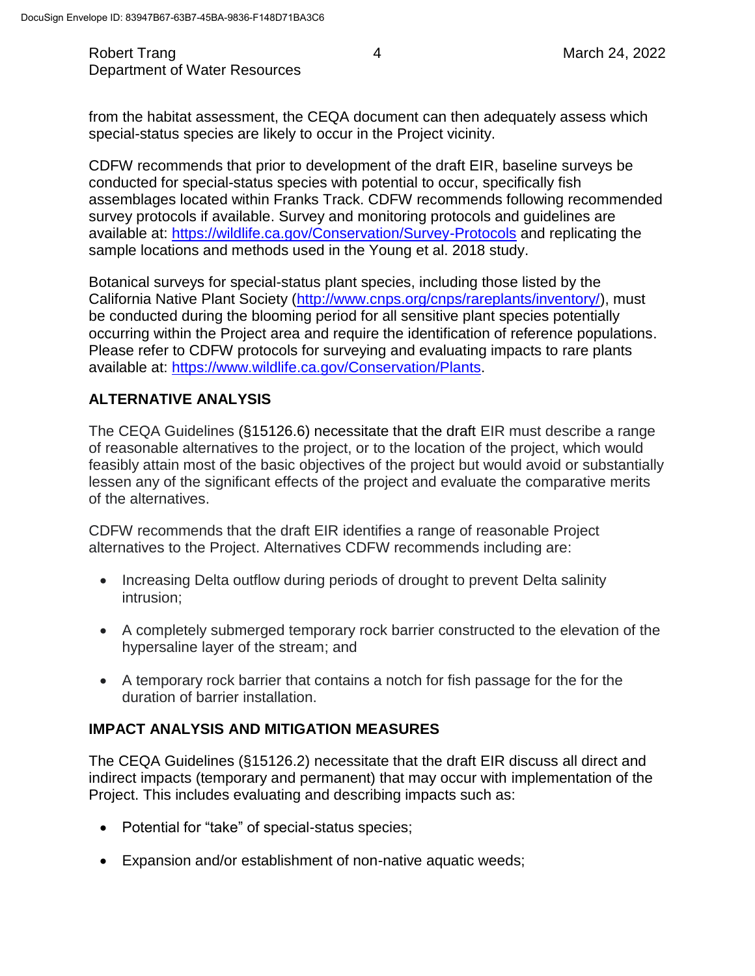Robert Trang **1988** March 24, 2022 Department of Water Resources

from the habitat assessment, the CEQA document can then adequately assess which special-status species are likely to occur in the Project vicinity.

CDFW recommends that prior to development of the draft EIR, baseline surveys be conducted for special-status species with potential to occur, specifically fish assemblages located within Franks Track. CDFW recommends following recommended survey protocols if available. Survey and monitoring protocols and guidelines are available at:<https://wildlife.ca.gov/Conservation/Survey-Protocols> and replicating the sample locations and methods used in the Young et al. 2018 study.

Botanical surveys for special-status plant species, including those listed by the California Native Plant Society [\(http://www.cnps.org/cnps/rareplants/inventory/\)](http://www.cnps.org/cnps/rareplants/inventory/), must be conducted during the blooming period for all sensitive plant species potentially occurring within the Project area and require the identification of reference populations. Please refer to CDFW protocols for surveying and evaluating impacts to rare plants available at: [https://www.wildlife.ca.gov/Conservation/Plants.](https://www.wildlife.ca.gov/Conservation/Plants)

## **ALTERNATIVE ANALYSIS**

The CEQA Guidelines (§15126.6) necessitate that the draft EIR must describe a range of reasonable alternatives to the project, or to the location of the project, which would feasibly attain most of the basic objectives of the project but would avoid or substantially lessen any of the significant effects of the project and evaluate the comparative merits of the alternatives.

CDFW recommends that the draft EIR identifies a range of reasonable Project alternatives to the Project. Alternatives CDFW recommends including are:

- Increasing Delta outflow during periods of drought to prevent Delta salinity intrusion;
- A completely submerged temporary rock barrier constructed to the elevation of the hypersaline layer of the stream; and
- A temporary rock barrier that contains a notch for fish passage for the for the duration of barrier installation.

### **IMPACT ANALYSIS AND MITIGATION MEASURES**

The CEQA Guidelines (§15126.2) necessitate that the draft EIR discuss all direct and indirect impacts (temporary and permanent) that may occur with implementation of the Project. This includes evaluating and describing impacts such as:

- Potential for "take" of special-status species;
- Expansion and/or establishment of non-native aquatic weeds;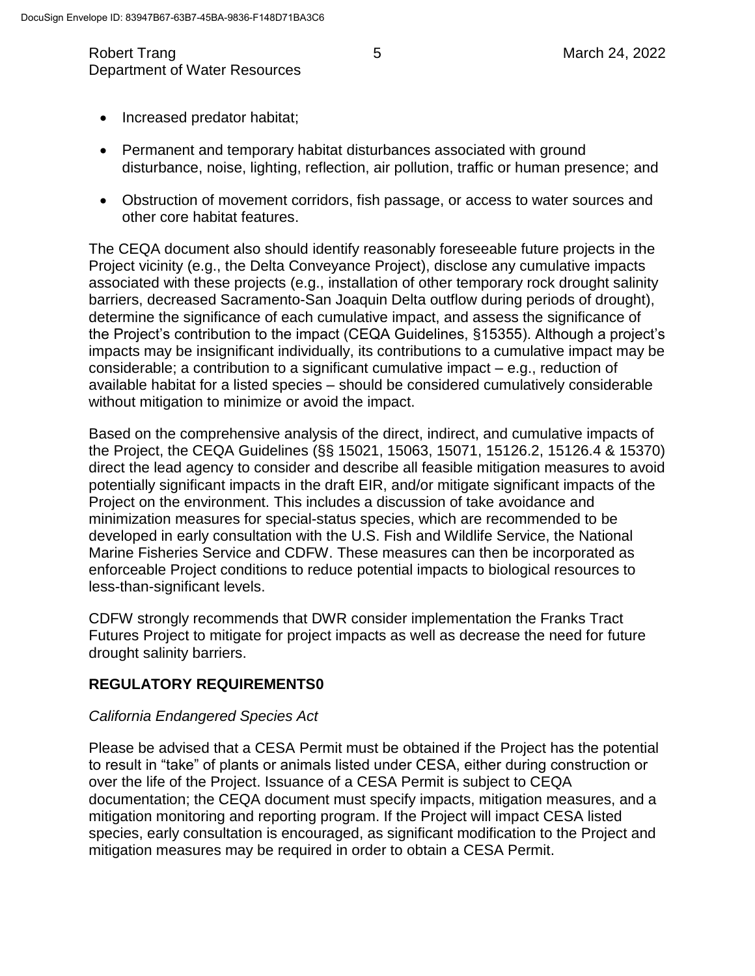- Increased predator habitat;
- Permanent and temporary habitat disturbances associated with ground disturbance, noise, lighting, reflection, air pollution, traffic or human presence; and
- Obstruction of movement corridors, fish passage, or access to water sources and other core habitat features.

The CEQA document also should identify reasonably foreseeable future projects in the Project vicinity (e.g., the Delta Conveyance Project), disclose any cumulative impacts associated with these projects (e.g., installation of other temporary rock drought salinity barriers, decreased Sacramento-San Joaquin Delta outflow during periods of drought), determine the significance of each cumulative impact, and assess the significance of the Project's contribution to the impact (CEQA Guidelines, §15355). Although a project's impacts may be insignificant individually, its contributions to a cumulative impact may be considerable; a contribution to a significant cumulative impact – e.g., reduction of available habitat for a listed species – should be considered cumulatively considerable without mitigation to minimize or avoid the impact.

Based on the comprehensive analysis of the direct, indirect, and cumulative impacts of the Project, the CEQA Guidelines (§§ 15021, 15063, 15071, 15126.2, 15126.4 & 15370) direct the lead agency to consider and describe all feasible mitigation measures to avoid potentially significant impacts in the draft EIR, and/or mitigate significant impacts of the Project on the environment. This includes a discussion of take avoidance and minimization measures for special-status species, which are recommended to be developed in early consultation with the U.S. Fish and Wildlife Service, the National Marine Fisheries Service and CDFW. These measures can then be incorporated as enforceable Project conditions to reduce potential impacts to biological resources to less-than-significant levels.

CDFW strongly recommends that DWR consider implementation the Franks Tract Futures Project to mitigate for project impacts as well as decrease the need for future drought salinity barriers.

### **REGULATORY REQUIREMENTS0**

#### *California Endangered Species Act*

Please be advised that a CESA Permit must be obtained if the Project has the potential to result in "take" of plants or animals listed under CESA, either during construction or over the life of the Project. Issuance of a CESA Permit is subject to CEQA documentation; the CEQA document must specify impacts, mitigation measures, and a mitigation monitoring and reporting program. If the Project will impact CESA listed species, early consultation is encouraged, as significant modification to the Project and mitigation measures may be required in order to obtain a CESA Permit.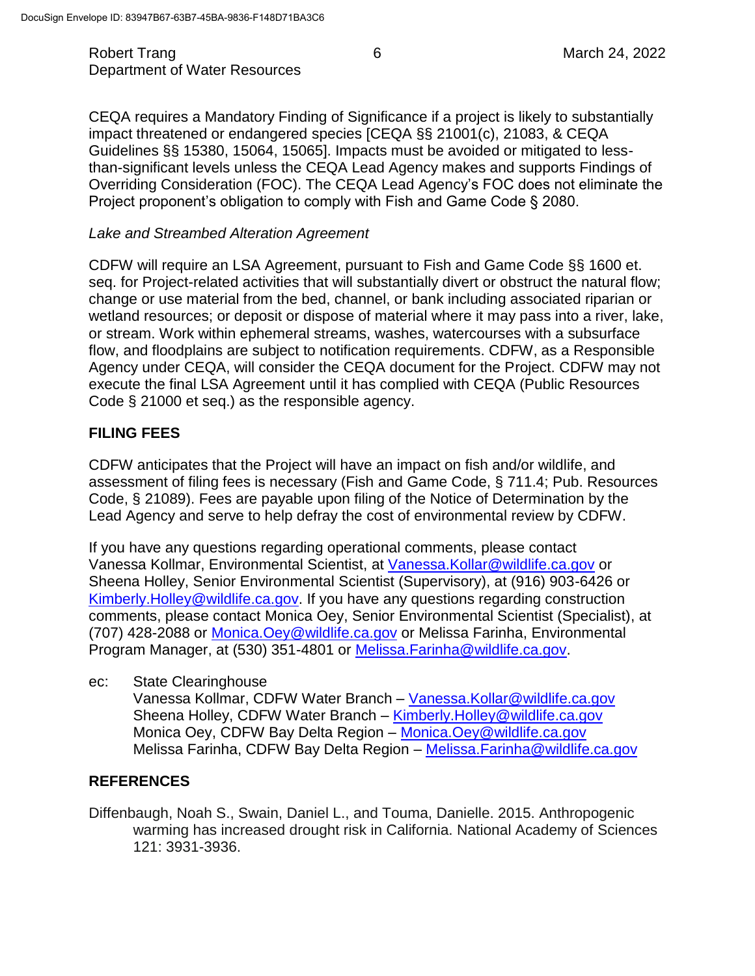Robert Trang **6** March 24, 2022 Department of Water Resources

CEQA requires a Mandatory Finding of Significance if a project is likely to substantially impact threatened or endangered species [CEQA §§ 21001(c), 21083, & CEQA Guidelines §§ 15380, 15064, 15065]. Impacts must be avoided or mitigated to lessthan-significant levels unless the CEQA Lead Agency makes and supports Findings of Overriding Consideration (FOC). The CEQA Lead Agency's FOC does not eliminate the Project proponent's obligation to comply with Fish and Game Code § 2080.

#### *Lake and Streambed Alteration Agreement*

CDFW will require an LSA Agreement, pursuant to Fish and Game Code §§ 1600 et. seq. for Project-related activities that will substantially divert or obstruct the natural flow; change or use material from the bed, channel, or bank including associated riparian or wetland resources; or deposit or dispose of material where it may pass into a river, lake, or stream. Work within ephemeral streams, washes, watercourses with a subsurface flow, and floodplains are subject to notification requirements. CDFW, as a Responsible Agency under CEQA, will consider the CEQA document for the Project. CDFW may not execute the final LSA Agreement until it has complied with CEQA (Public Resources Code § 21000 et seq.) as the responsible agency.

### **FILING FEES**

CDFW anticipates that the Project will have an impact on fish and/or wildlife, and assessment of filing fees is necessary (Fish and Game Code, § 711.4; Pub. Resources Code, § 21089). Fees are payable upon filing of the Notice of Determination by the Lead Agency and serve to help defray the cost of environmental review by CDFW.

If you have any questions regarding operational comments, please contact Vanessa Kollmar, Environmental Scientist, at [Vanessa.Kollar@wildlife.ca.gov](mailto:Vanessa.Kollar@wildlife.ca.gov) or Sheena Holley, Senior Environmental Scientist (Supervisory), at (916) 903-6426 or [Kimberly.Holley@wildlife.ca.gov.](mailto:Kimberly.Holley@wildlife.ca.gov) If you have any questions regarding construction comments, please contact Monica Oey, Senior Environmental Scientist (Specialist), at (707) 428-2088 or [Monica.Oey@wildlife.ca.gov](mailto:Monica.Oey@wildlife.ca.gov) or Melissa Farinha, Environmental Program Manager, at (530) 351-4801 or [Melissa.Farinha@wildlife.ca.gov.](mailto:Melissa.Farinha@wildlife.ca.gov)

ec: State Clearinghouse

Vanessa Kollmar, CDFW Water Branch – [Vanessa.Kollar@wildlife.ca.gov](mailto:Vanessa.Kollar@wildlife.ca.gov) Sheena Holley, CDFW Water Branch – [Kimberly.Holley@wildlife.ca.gov](mailto:Kimberly.Holley@wildlife.ca.gov) Monica Oey, CDFW Bay Delta Region – [Monica.Oey@wildlife.ca.gov](mailto:Monica.Oey@wildlife.ca.gov) Melissa Farinha, CDFW Bay Delta Region – [Melissa.Farinha@wildlife.ca.gov](mailto:Melissa.Farinha@wildlife.ca.gov)

### **REFERENCES**

Diffenbaugh, Noah S., Swain, Daniel L., and Touma, Danielle. 2015. Anthropogenic warming has increased drought risk in California. National Academy of Sciences 121: 3931-3936.